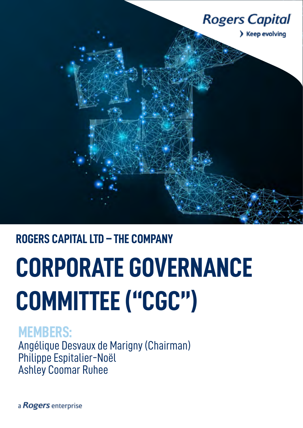

## **ROGERS CAPITAL LTD – THE COMPANY**

# **CORPORATE GOVERNANCE COMMITTEE ("CGC")**

## **MEMBERS:**

Angélique Desvaux de Marigny (Chairman) Philippe Espitalier-Noël Ashley Coomar Ruhee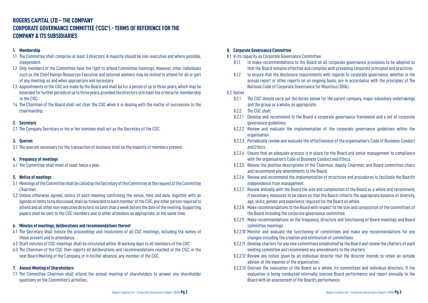### **ROGERS CAPITAL LTD – THE COMPANY CORPORATE GOVERNANCE COMMITTEE ('CGC') - TERMS OF REFERENCE FOR THE COMPANY & ITS SUBSIDIARIES**

#### **1. Membership**

- 1.1 The Committee shall comprise at least 3 directors. A majority should be non-executive and where possible, independent.
- 1.2 Only members of the Committee have the right to attend Committee meetings. However, other individuals such as the Chief Human Resources Executive and external advisers may be invited to attend for all or part of any meeting, as and when appropriate and necessary.
- 1.3 Appointments to the CGC are made by the Board and shall be for a period of up to three years, which may be extended for further periods of up to three years, provided the directors still meet the criteria for membership to the CGC.
- 1.4 The Chairman of the Board shall not chair the CGC when it is dealing with the matter of succession to the chairmanship.

#### **2. Secretary**

2.1 The Company Secretary or his or her nominee shall act as the Secretary of the CGC.

#### **3. Quorum**

3.1 The quorum necessary for the transaction of business shall be the majority of members present.

#### **4. Frequency of meetings**

4.1 The Committee shall meet at least twice a year.

#### **5. Notice of meetings**

- 5.1 Meetings of the Committee shall be called by the Secretary of the Committee at the request of the Committee Chairman.
- 5.2 Unless otherwise agreed, notice of each meeting confirming the venue, time and date, together with an agenda of items to be discussed, shall be forwarded to each member of the CGC, any other person required to attend and all other non-executive directors, no later than a week before the date of the meeting. Supporting papers shall be sent to the CGC members and to other attendees as appropriate, at the same time.

#### **6. Minutes of meetings, deliberations and recommendations thereof**

- 6.1 The Secretary shall minute the proceedings and resolutions of all CGC meetings, including the names of those present and in attendance.
- 6.2 Draft minutes of CGC meetings shall be circulated within 10 working days to all members of the CGC.
- 6.3 The Chairman of the CGC then reports all deliberations and recommendations reached at the CGC, in the next Board Meeting of the Company, or in his/her absence, any member of the CGC.

#### **7. Annual Meeting of Shareholders**

7.1 The Committee Chairman shall attend the annual meeting of shareholders to answer any shareholder questions on the Committee's activities.

#### **8. Corporate Governance Committee**

8.1 In its capacity as Corporate Governance Committee:

8.1.1 to make recommendations to the Board on all corporate governance provisions to be adopted so that the Board remains effective and complies with prevailing corporate principles and practices. 8.1.2 to ensure that the disclosure requirements with regards to corporate governance, whether in the annual report or other reports on an ongoing basis, are in accordance with the principles of The

- 
- National Code of Corporate Governance for Mauritius (2016).

#### 8.2 Duties

8.2.1 The CGC should carry out the duties below for the parent company, major subsidiary undertakings

- and the group as a whole, as appropriate.
- 8.2.2 The CGC shall:
- 8.2.2.1 Develop and recommend to the Board a corporate governance framework and a set of corporate governance guidelines.
- 8.2.2.2 Review and evaluate the implementation of the corporate governance guidelines within the organisation.
- 8.2.2.3 Periodically review and evaluate the effectiveness of the organisation's Code of Business Conduct and Ethics.
- 8.2.2.4 Ensure that an adequate process is in place for the Board and senior management to compliance with the organisation's Code of Business Conduct and Ethics.
- 8.2.2.5 Review the position descriptions of the Chairman, deputy Chairman, and Board committee chairs and recommend any amendments to the Board.
- 8.2.2.6 Review and recommend the implementation of structures and procedures to facilitate the Board's independence from management.
- 8.2.2.7 Review annually with the Board the size and composition of the Board as a whole and recommend, if necessary, measures to be taken so that the Board reflects the appropriate balance of diversity, age, skills, gender and experience required for the Board as whole.
- 8.2.2.8 Make recommendations to the Board with respect to the size and composition of the committees of the Board including the corporate governance committee.
- 8.2.2.9 Make recommendations on the frequency, structure and functioning of Board meetings and Board committee meetings.
- 8.2.2.10 Monitor and evaluate the functioning of committees and make any recommendations for any changes including the creation and elimination of committees.
- 8.2.2.11 Develop charters for any new committees established by the Board and review the charters of each existing committee and recommend any amendments to the charters
- 8.2.2.12 Review any notice given by an individual director that the director intends to retain an outside advisor at the expense of the organization.
- Board with an assessment of the Board's performance.

8.2.2.13 Oversee the evaluation of the Board as a whole, its committees and individual directors. If the evaluation is being conducted internally, oversee Board performance and report annually to the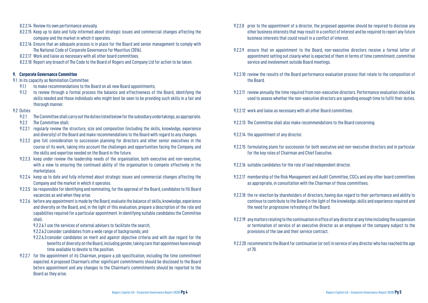- 8.2.2.14 Review its own performance annually.
- 8.2.2.15 Keep up to date and fully informed about strategic issues and commercial changes affecting the company and the market in which it operates.
- 8.2.2.16 Ensure that an adequate process is in place for the Board and senior management to comply with The National Code of Corporate Governance for Mauritius (2016).
- 8.2.2.17 Work and liaise as necessary with all other board committees.
- 8.2.2.18 Report any breach of The Code to the Board of Rogers and Company Ltd for action to be taken.

#### **9. Corporate Governance Committee**

- 9.1 In its capacity as Nomination Committee:
	- 9.1.1 to make recommendations to the Board on all new Board appointments:
	- 9.1.2 to review through a formal process the balance and effectiveness of the Board, identifying the skills needed and those individuals who might best be seen to be providing such skills in a fair and thorough manner.

#### 9.2 Duties

- 9.2.1 The Committee shall carry out the duties listed below for the subsidiary undertakings, as appropriate.
- 9.2.2 The Committee shall:
- 9.2.2.1 regularly review the structure, size and composition (including the skills, knowledge, experience and diversity) of the Board and make recommendations to the Board with regard to any changes.
- 9.2.2.2 give full consideration to succession planning for directors and other senior executives in the course of its work, taking into account the challenges and opportunities facing the Company, and the skills and expertise needed on the Board in the future.
- 9.2.2.3 keep under review the leadership needs of the organisation, both executive and non-executive, with a view to ensuring the continued ability of the organisation to compete effectively in the marketplace.
- 9.2.2.4 keep up to date and fully informed about strategic issues and commercial changes affecting the Company and the market in which it operates.
- 9.2.2.5 be responsible for identifying and nominating, for the approval of the Board, candidates to fill Board vacancies as and when they arise.
- 9.2.2.6 before any appointment is made by the Board, evaluate the balance of skills, knowledge, experience and diversity on the Board, and, in the light of this evaluation, prepare a description of the role and capabilities required for a particular appointment. In identifying suitable candidates the Committee shall:
	- 9.2.2.6.1 use the services of external advisers to facilitate the search;
	- 9.2.2.6.2 consider candidates from a wide range of backgrounds; and
	- 9.2.2.6.3consider candidates on merit and against objective criteria and with due regard for the benefits of diversity on the Board, including gender, taking care that appointees have enough time available to devote to the position.
- 9.2.2.7 for the appointment of its Chairman, prepare a job specification, including the time commitment expected. A proposed Chairman's other significant commitments should be disclosed to the Board before appointment and any changes to the Chairman's commitments should be reported to the Board as they arise.

9.2.2.8 prior to the appointment of a director, the proposed appointee should be required to disclose any other business interests that may result in a conflict of interest and be required to report any future

9.2.2.9 ensure that on appointment to the Board, non-executive directors receive a formal letter of appointment setting out clearly what is expected of them in terms of time commitment, committee

9.2.2.10 review the results of the Board performance evaluation process that relate to the composition of

9.2.2.11 review annually the time required from non-executive directors. Performance evaluation should be used to assess whether the non-executive directors are spending enough time to fulfil their duties.

9.2.2.15 formulating plans for succession for both executive and non-executive directors and in particular

- business interests that could result in a conflict of interest.
- service and involvement outside Board meetings.
- the Board.
- 
- 9.2.2.12 work and liaise as necessary with all other Board committees.
- 9.2.2.13 The Committee shall also make recommendations to the Board concerning:
- 9.2.2.14 the appointment of any director.
- for the key roles of Chairman and Chief Executive.
- 9.2.2.16 suitable candidates for the role of lead independent director.
- as appropriate, in consultation with the Chairman of those committees.
- the need for progressive refreshing of the Board.
- provisions of the law and their service contract.
- of 70.

9.2.2.17 membership of the Risk Management and Audit Committee, CGCs and any other board committees

9.2.2.18 the re-election by shareholders of directors, having due regard to their performance and ability to continue to contribute to the Board in the light of the knowledge, skills and experience required and

9.2.2.19 any matters relating to the continuation in office of any director at any time including the suspension or termination of service of an executive director as an employee of the company subject to the

9.2.2.20 recommend to the Board for continuation (or not) in service of any director who has reached the age